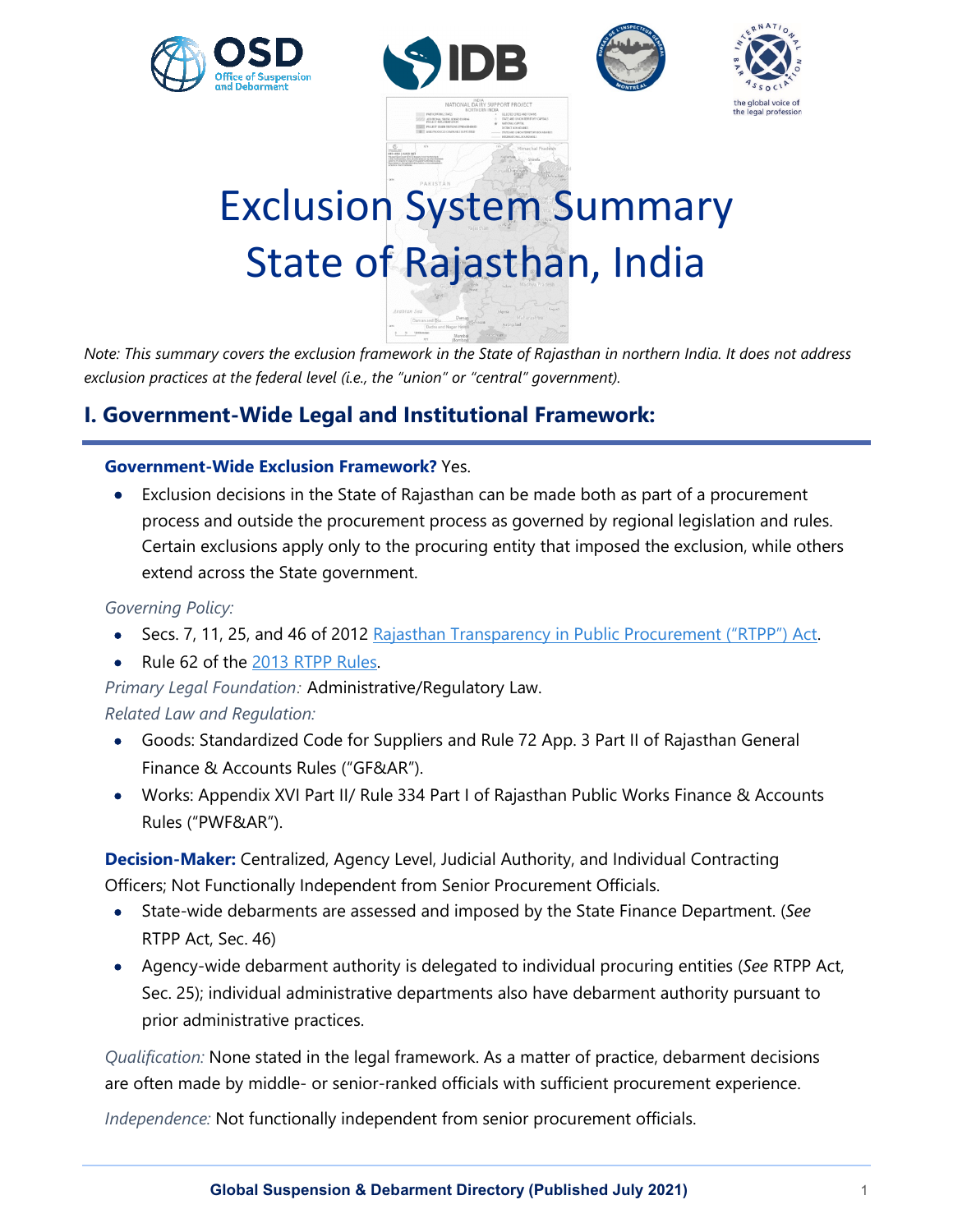







# Exclusion System Summary State of Rajasthan, India

*Note: This summary covers the exclusion framework in the State of Rajasthan in northern India. It does not address exclusion practices at the federal level (i.e., the "union" or "central" government).*

# **I. Government-Wide Legal and Institutional Framework:**

# **Government-Wide Exclusion Framework?** Yes.

• Exclusion decisions in the State of Rajasthan can be made both as part of a procurement process and outside the procurement process as governed by regional legislation and rules. Certain exclusions apply only to the procuring entity that imposed the exclusion, while others extend across the State government.

# *Governing Policy:*

- Secs. 7, 11, 25, and 46 of 2012 [Rajasthan Transparency in Public Procurement \("RTPP"\) Act.](https://www.latestlaws.com/wp-content/uploads/2015/07/Rajasthan-Transparency-Public-Procurement-Act-2012.pdf)
- Rule 62 of the [2013 RTPP Rules.](https://energy.rajasthan.gov.in/content/dam/raj/energy/jaipurdiscom/PDF_2019/rtpp2013.pdf)

*Primary Legal Foundation:* Administrative/Regulatory Law. *Related Law and Regulation:* 

- Goods: Standardized Code for Suppliers and Rule 72 App. 3 Part II of Rajasthan General Finance & Accounts Rules ("GF&AR").
- Works: Appendix XVI Part II/ Rule 334 Part I of Rajasthan Public Works Finance & Accounts Rules ("PWF&AR").

**Decision-Maker:** Centralized, Agency Level, Judicial Authority, and Individual Contracting Officers; Not Functionally Independent from Senior Procurement Officials.

- State-wide debarments are assessed and imposed by the State Finance Department. (*See* RTPP Act, Sec. 46)
- Agency-wide debarment authority is delegated to individual procuring entities (*See* RTPP Act, Sec. 25); individual administrative departments also have debarment authority pursuant to prior administrative practices.

*Qualification:* None stated in the legal framework. As a matter of practice, debarment decisions are often made by middle- or senior-ranked officials with sufficient procurement experience.

*Independence:* Not functionally independent from senior procurement officials.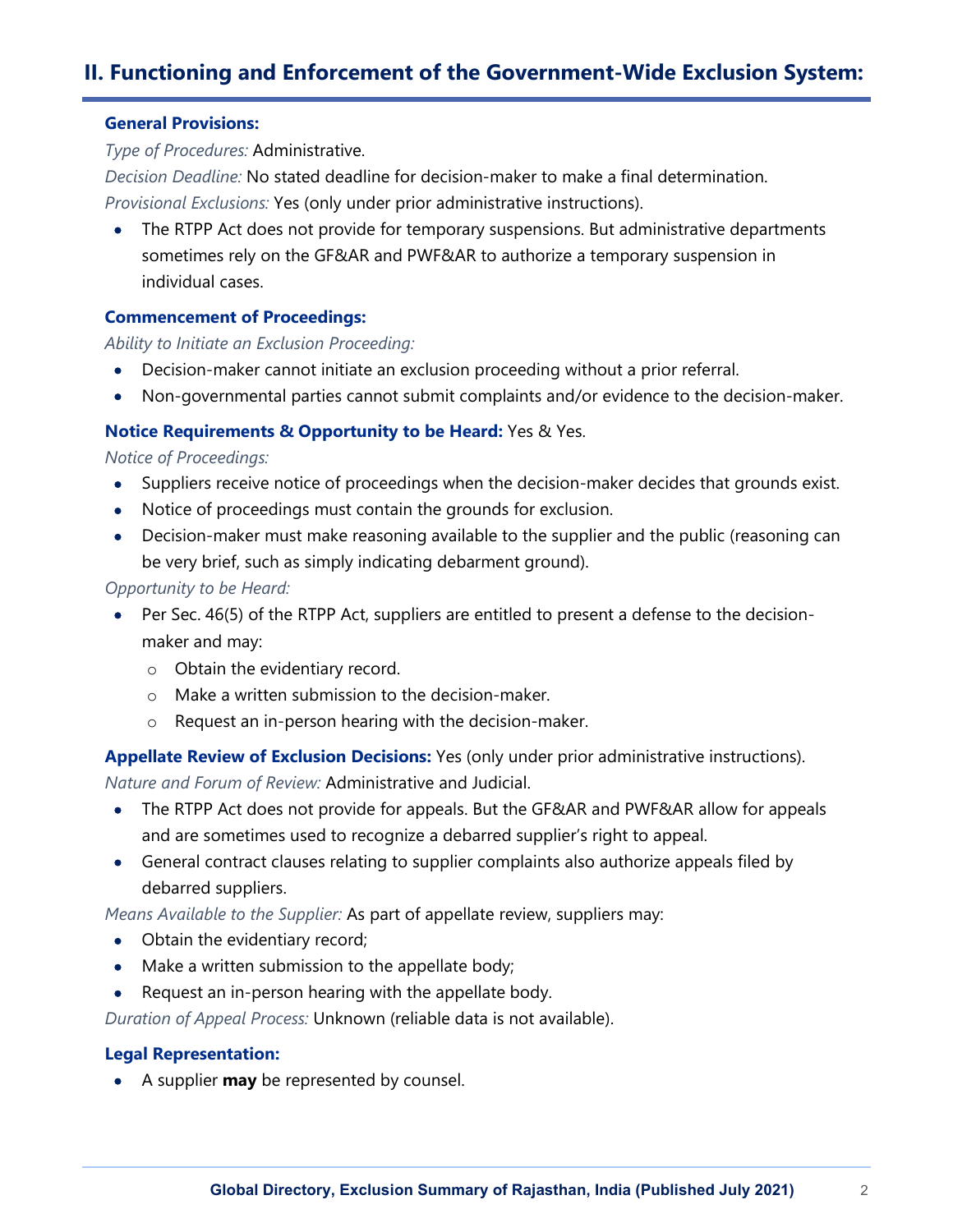# **II. Functioning and Enforcement of the Government-Wide Exclusion System:**

#### **General Provisions:**

*Type of Procedures:* Administrative.

*Decision Deadline:* No stated deadline for decision-maker to make a final determination. *Provisional Exclusions:* Yes (only under prior administrative instructions).

• The RTPP Act does not provide for temporary suspensions. But administrative departments sometimes rely on the GF&AR and PWF&AR to authorize a temporary suspension in individual cases.

#### **Commencement of Proceedings:**

*Ability to Initiate an Exclusion Proceeding:*

- Decision-maker cannot initiate an exclusion proceeding without a prior referral.
- Non-governmental parties cannot submit complaints and/or evidence to the decision-maker.

#### **Notice Requirements & Opportunity to be Heard:** Yes & Yes.

*Notice of Proceedings:*

- Suppliers receive notice of proceedings when the decision-maker decides that grounds exist.
- Notice of proceedings must contain the grounds for exclusion.
- Decision-maker must make reasoning available to the supplier and the public (reasoning can be very brief, such as simply indicating debarment ground).

*Opportunity to be Heard:*

- Per Sec. 46(5) of the RTPP Act, suppliers are entitled to present a defense to the decisionmaker and may:
	- o Obtain the evidentiary record.
	- o Make a written submission to the decision-maker.
	- o Request an in-person hearing with the decision-maker.

**Appellate Review of Exclusion Decisions:** Yes (only under prior administrative instructions).

*Nature and Forum of Review:* Administrative and Judicial.

- The RTPP Act does not provide for appeals. But the GF&AR and PWF&AR allow for appeals and are sometimes used to recognize a debarred supplier's right to appeal.
- General contract clauses relating to supplier complaints also authorize appeals filed by debarred suppliers.

*Means Available to the Supplier:* As part of appellate review, suppliers may:

- Obtain the evidentiary record;
- Make a written submission to the appellate body;
- Request an in-person hearing with the appellate body.

*Duration of Appeal Process:* Unknown (reliable data is not available).

#### **Legal Representation:**

• A supplier **may** be represented by counsel.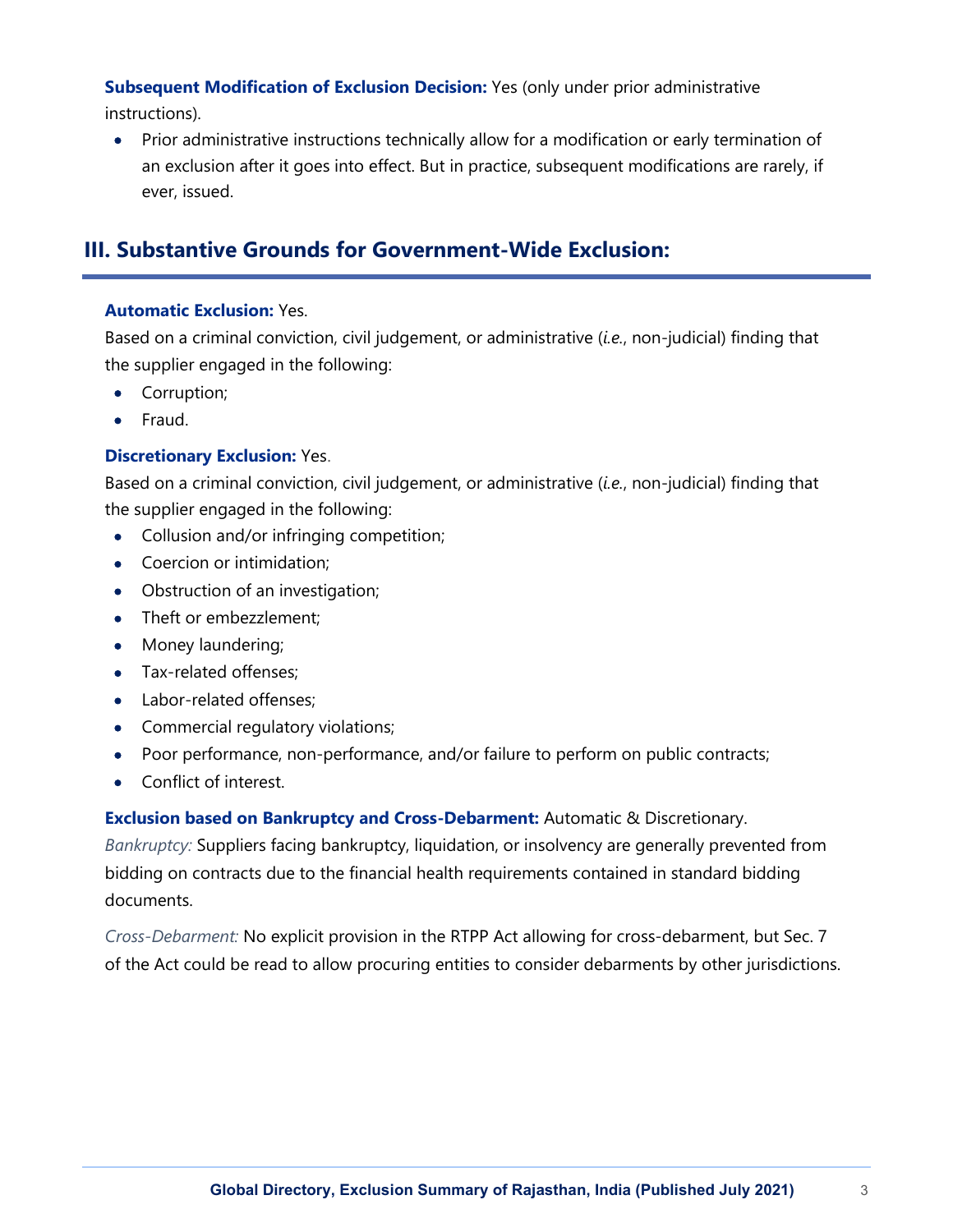**Subsequent Modification of Exclusion Decision:** Yes (only under prior administrative instructions).

• Prior administrative instructions technically allow for a modification or early termination of an exclusion after it goes into effect. But in practice, subsequent modifications are rarely, if ever, issued.

# **III. Substantive Grounds for Government-Wide Exclusion:**

## **Automatic Exclusion:** Yes.

Based on a criminal conviction, civil judgement, or administrative (*i.e.*, non-judicial) finding that the supplier engaged in the following:

- Corruption;
- Fraud.

## **Discretionary Exclusion:** Yes.

Based on a criminal conviction, civil judgement, or administrative (*i.e.*, non-judicial) finding that the supplier engaged in the following:

- Collusion and/or infringing competition;
- Coercion or intimidation:
- Obstruction of an investigation;
- Theft or embezzlement;
- Money laundering;
- Tax-related offenses;
- Labor-related offenses:
- Commercial regulatory violations;
- Poor performance, non-performance, and/or failure to perform on public contracts;
- Conflict of interest.

**Exclusion based on Bankruptcy and Cross-Debarment:** Automatic & Discretionary. *Bankruptcy:* Suppliers facing bankruptcy, liquidation, or insolvency are generally prevented from bidding on contracts due to the financial health requirements contained in standard bidding documents.

*Cross-Debarment:* No explicit provision in the RTPP Act allowing for cross-debarment, but Sec. 7 of the Act could be read to allow procuring entities to consider debarments by other jurisdictions.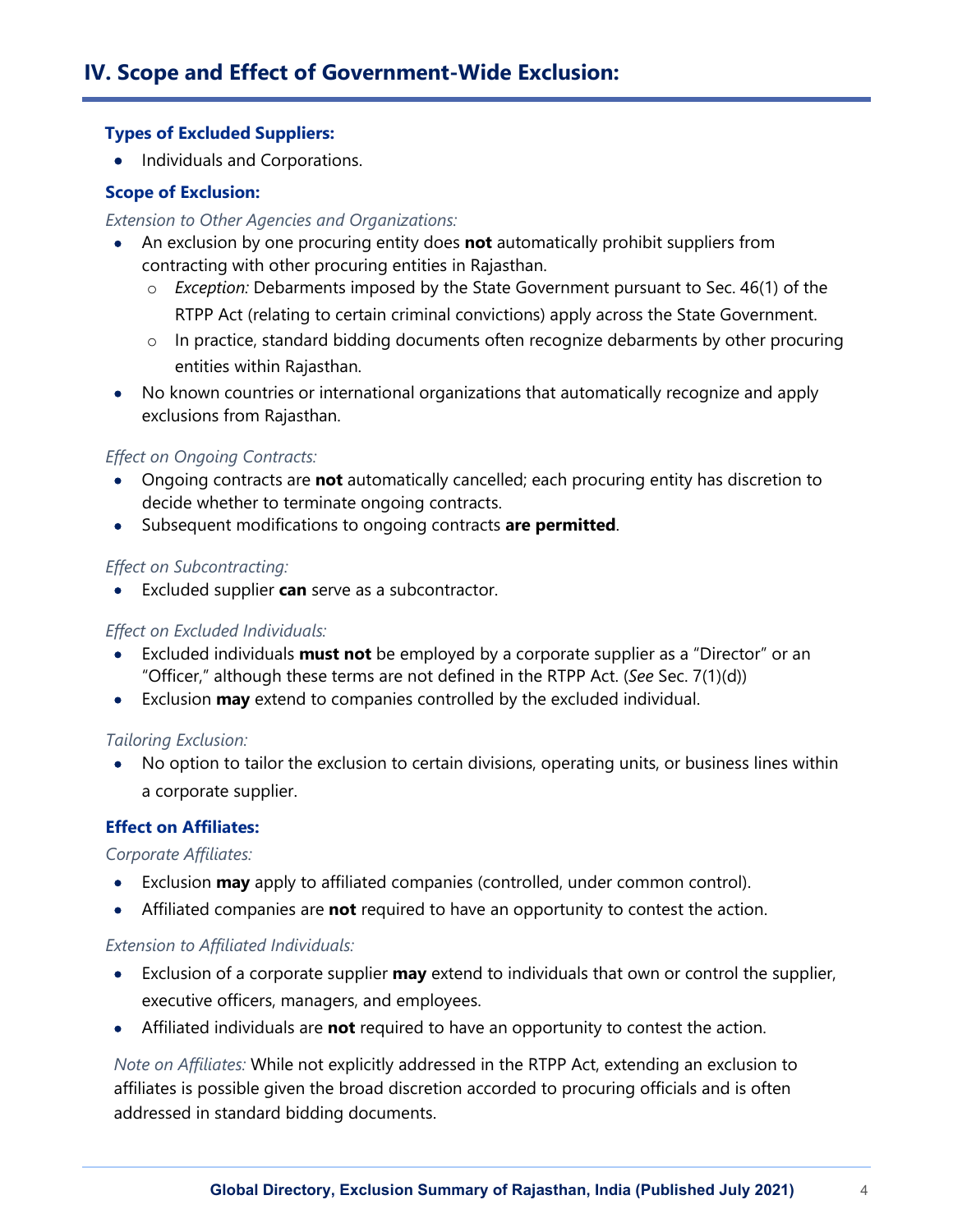## **Types of Excluded Suppliers:**

• Individuals and Corporations.

## **Scope of Exclusion:**

#### *Extension to Other Agencies and Organizations:*

- An exclusion by one procuring entity does **not** automatically prohibit suppliers from contracting with other procuring entities in Rajasthan.
	- o *Exception:* Debarments imposed by the State Government pursuant to Sec. 46(1) of the RTPP Act (relating to certain criminal convictions) apply across the State Government.
	- $\circ$  In practice, standard bidding documents often recognize debarments by other procuring entities within Rajasthan.
- No known countries or international organizations that automatically recognize and apply exclusions from Rajasthan.

# *Effect on Ongoing Contracts:*

- Ongoing contracts are **not** automatically cancelled; each procuring entity has discretion to decide whether to terminate ongoing contracts.
- Subsequent modifications to ongoing contracts **are permitted**.

## *Effect on Subcontracting:*

• Excluded supplier **can** serve as a subcontractor.

#### *Effect on Excluded Individuals:*

- Excluded individuals **must not** be employed by a corporate supplier as a "Director" or an "Officer," although these terms are not defined in the RTPP Act. (*See* Sec. 7(1)(d))
- Exclusion **may** extend to companies controlled by the excluded individual.

#### *Tailoring Exclusion:*

• No option to tailor the exclusion to certain divisions, operating units, or business lines within a corporate supplier.

# **Effect on Affiliates:**

# *Corporate Affiliates:*

- Exclusion **may** apply to affiliated companies (controlled, under common control).
- Affiliated companies are **not** required to have an opportunity to contest the action.

#### *Extension to Affiliated Individuals:*

- Exclusion of a corporate supplier **may** extend to individuals that own or control the supplier, executive officers, managers, and employees.
- Affiliated individuals are **not** required to have an opportunity to contest the action.

*Note on Affiliates:* While not explicitly addressed in the RTPP Act, extending an exclusion to affiliates is possible given the broad discretion accorded to procuring officials and is often addressed in standard bidding documents.